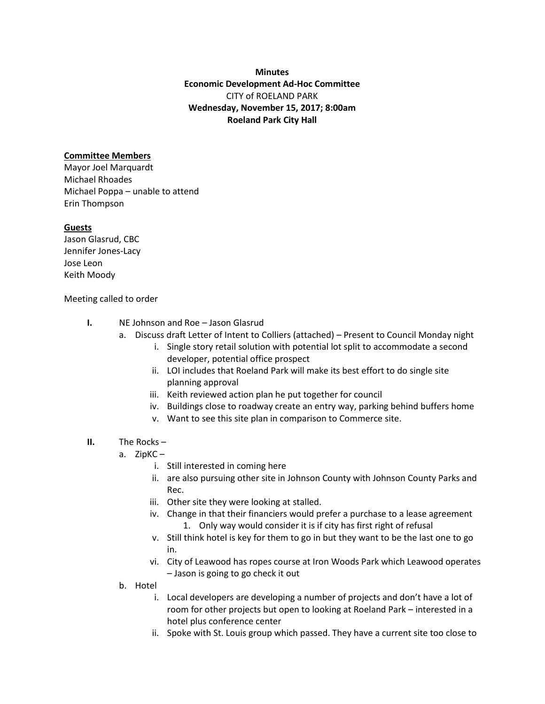## **Minutes Economic Development Ad-Hoc Committee** CITY of ROELAND PARK **Wednesday, November 15, 2017; 8:00am Roeland Park City Hall**

## **Committee Members**

Mayor Joel Marquardt Michael Rhoades Michael Poppa – unable to attend Erin Thompson

## **Guests**

Jason Glasrud, CBC Jennifer Jones-Lacy Jose Leon Keith Moody

## Meeting called to order

- **I.** NE Johnson and Roe Jason Glasrud
	- a. Discuss draft Letter of Intent to Colliers (attached) Present to Council Monday night
		- i. Single story retail solution with potential lot split to accommodate a second developer, potential office prospect
		- ii. LOI includes that Roeland Park will make its best effort to do single site planning approval
		- iii. Keith reviewed action plan he put together for council
		- iv. Buildings close to roadway create an entry way, parking behind buffers home
		- v. Want to see this site plan in comparison to Commerce site.
- **II.** The Rocks
	- a. ZipKC
		- i. Still interested in coming here
		- ii. are also pursuing other site in Johnson County with Johnson County Parks and Rec.
		- iii. Other site they were looking at stalled.
		- iv. Change in that their financiers would prefer a purchase to a lease agreement 1. Only way would consider it is if city has first right of refusal
		- v. Still think hotel is key for them to go in but they want to be the last one to go in.
		- vi. City of Leawood has ropes course at Iron Woods Park which Leawood operates – Jason is going to go check it out
	- b. Hotel
		- i. Local developers are developing a number of projects and don't have a lot of room for other projects but open to looking at Roeland Park – interested in a hotel plus conference center
		- ii. Spoke with St. Louis group which passed. They have a current site too close to